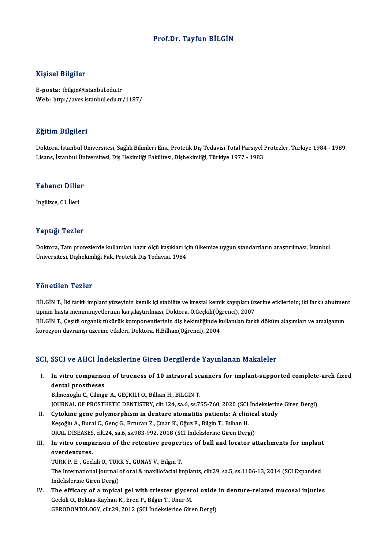### Prof.Dr. Tayfun BİLGİN

### Kişisel Bilgiler

E-posta: tbilgin@istanbul.edu.tr Web: http://aves.istanbul.edu.tr/1187/

#### Eğitim Bilgileri

**Eğitim Bilgileri**<br>Doktora, İstanbul Üniversitesi, Sağlık Bilimleri Ens., Protetik Diş Tedavisi Total Parsiyel Protezler, Türkiye 1984 - 1989<br>Lisans, İstanbul Üniversitesi, Diş Hekimliği Fekültesi, Dishekimliği, Türkiye 19 Lisansın Dargarora<br>Doktora, İstanbul Üniversitesi, Sağlık Bilimleri Ens., Protetik Diş Tedavisi Total Parsiyel I<br>Lisans, İstanbul Üniversitesi, Diş Hekimliği Fakültesi, Dişhekimliği, Türkiye 1977 - 1983

## Lisans, istanbul on<br>Yabancı Diller Y<mark>abancı Dille</mark><br>İngilizce, C1 İleri

## İngilizce, C1 İleri<br>Yaptığı Tezler

Yaptığı Tezler<br>Doktora, Tam protezlerde kullanılan hazır ölçü kaşıkları için ülkemize uygun standartların araştırılması, İstanbul<br>Ühiversitesi, Disheltimliği Fels Pretetil: Dis Tedevisi, 1984 Tüp ergi<br>Doktora, Tam protezlerde kullanılan hazır ölçü kaşıkları iç<br>Üniversitesi, Dişhekimliği Fak, Protetik Diş Tedavisi, 1984 Üniversitesi, Dişhekimliği Fak, Protetik Diş Tedavisi, 1984<br>Yönetilen Tezler

Yönetilen Tezler<br>BİLGİN T., İki farklı implant yüzeyinin kemik içi stabilite ve krestal kemik kayıpları üzerine etkilerinin; iki farklı abutment<br>tininin hasta memnuniyatlarının karalastırılması. Dektara O.Caskili(Öğrensi), t ottocttort tipinet<br>BİLGİN T., İki farklı implant yüzeyinin kemik içi stabilite ve krestal kemik kayıpları üz<br>tipinin hasta memnuniyetlerinin karşılaştırılması, Doktora, O.Geçkili(Öğrenci), 2007<br>PİLGİN T. Geçitli oraspik BİLGİN T., İki farklı implant yüzeyinin kemik içi stabilite ve krestal kemik kayıpları üzerine etkilerinin; iki farklı abutmer<br>tipinin hasta memnuniyetlerinin karşılaştırılması, Doktora, O.Geçkili(Öğrenci), 2007<br>BİLGİN T., tipinin hasta memnuniyetlerinin karşılaştırılması, Doktora, O.Geçkili(Öğrenci), 2007<br>BİLGİN T., Çeşitli organik tükürük komponentlerinin diş hekimliğinde kullanılan farklı döküm alaşımları ve amalgamın<br>korozyon davranışı ü

### SCI, SSCI ve AHCI İndekslerine Giren Dergilerde Yayınlanan Makaleler

I. SSCI ve AHCI Indekslerine Giren Dergilerde Yayınlanan Makaleler<br>I. In vitro comparison of trueness of 10 intraoral scanners for implant-supported complete-arch fixed<br>dantal prestheses dental prostheses<br>In vitro compariso<br>Bilmonogly C. Cilingi In vitro comparison of trueness of 10 intraoral sc<br>dental prostheses<br>Bilmenoglu C., Cilingir A., GEÇKİLİ O., Bilhan H., BİLGİN T.<br>JOUPMAL OE PROSTUETIC DENTISTRY silt 124 sa 6 ss Z dental prostheses<br>Bilmenoglu C., Cilingir A., GEÇKİLİ O., Bilhan H., BİLGİN T.<br>JOURNAL OF PROSTHETIC DENTISTRY, cilt.124, sa.6, ss.755-760, 2020 (SCI İndekslerine Giren Dergi)

- II. Cytokine gene polymorphism in denture stomatitis patients: A clinical study Keşoğlu A., Bural C., Genç G., Erturan Z., Çınar K., Oğuz F., Bilgin T., Bılhan H. Cytokine gene polymorphism in denture stomatitis patients: A clinica<br>Keşoğlu A., Bural C., Genç G., Erturan Z., Çınar K., Oğuz F., Bilgin T., Bılhan H.<br>ORAL DISEASES, cilt.24, sa.6, ss.983-992, 2018 (SCI İndekslerine Giren Keşoğlu A., Bural C., Genç G., Erturan Z., Çınar K., Oğuz F., Bilgin T., Bılhan H.<br>ORAL DISEASES, cilt.24, sa.6, ss.983-992, 2018 (SCI İndekslerine Giren Dergi)<br>III. In vitro comparison of the retentive properties of ball
- ORAL DISEASES<br>In vitro compa<br>overdentures.<br>TUPK P. E. Cool In vitro comparison of the retentive proper<br>overdentures.<br>TURK P. E. , Geckili O., TURK Y., GUNAY V., Bilgin T.<br>The International journal of eral & mavillefacial in overdentures.<br>TURK P. E. , Geckili O., TURK Y., GUNAY V., Bilgin T.<br>The International journal of oral & maxillofacial implants, cilt.29, sa.5, ss.1106-13, 2014 (SCI Expanded<br>Indekslerine Giren Dergi) TURK P. E., Geckili O., TURK Y., GUNAY V., Bilgin T. The International journal of oral & maxillofacial implants, cilt.29, sa.5, ss.1106-13, 2014 (SCI Expanded indekslerine Giren Dergi)<br>IV. The efficacy of a topical gel with triester glycerol oxide in denture-related mucosal
- İndekslerine Giren Dergi)<br>The efficacy of a topical gel with triester glycer<br>Geckili O., Bektas-Kayhan K., Eren P., Bilgin T., Unur M.<br>GERODONTOLOCY, silt 20, 2012 (SCL İndekslerine Cire Geckili O., Bektas-Kayhan K., Eren P., Bilgin T., Unur M.<br>GERODONTOLOGY, cilt.29, 2012 (SCI İndekslerine Giren Dergi)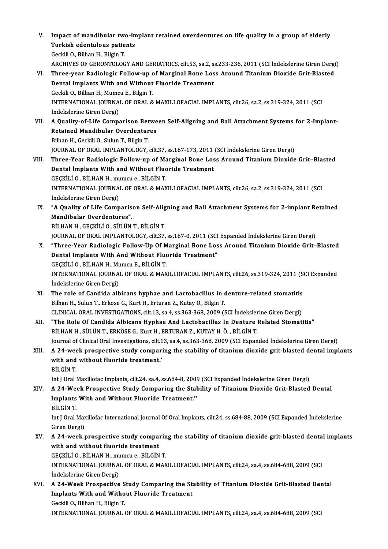V. Impact of mandibular two-implant retained overdentures on life quality in a group of elderly<br>Turkish edentuleus patients Impact of mandibular two-in<br>Turkish edentulous patients<br>Ceskij O. Bilban H. Bilgin T Turkish edentulous patients<br>Geckili O., Bilhan H., Bilgin T. Turkish edentulous patients<br>Geckili O., Bilhan H., Bilgin T.<br>ARCHIVES OF GERONTOLOGY AND GERIATRICS, cilt.53, sa.2, ss.233-236, 2011 (SCI İndekslerine Giren Dergi)<br>Three wear Bedialegis Fallow yn of Marginal Bone Loss Arou VI. Three-year Radiologic Follow-up of Marginal Bone Loss Around Titanium Dioxide Grit-Blasted<br>Dental Implants With and Without Fluoride Treatment ARCHIVES OF GERONTOLOGY AND GERIATRICS, cilt.53, sa.2, s.<br>Three-year Radiologic Follow-up of Marginal Bone Los<br>Dental Implants With and Without Fluoride Treatment<br>Ceckij O. Bilban H. Mumeu E. Bilgin T. Three-year Radiologic Follow-up of<br>Dental Implants With and Without<br>Geckili O., Bilhan H., Mumcu E., Bilgin T.<br>INTERNATIONAL JOURNAL OF ORAL & INTERNATIONAL JOURNAL OF ORAL & MAXILLOFACIAL IMPLANTS, cilt.26, sa.2, ss.319-324, 2011 (SCI Indekslerine Giren Dergi) Geckili O., Bilhan H., Mumc<br>INTERNATIONAL JOURNA<br>İndekslerine Giren Dergi)<br>A Quality of Life Compa INTERNATIONAL JOURNAL OF ORAL & MAXILLOFACIAL IMPLANTS, cilt.26, sa.2, ss.319-324, 2011 (SCI<br>Indekslerine Giren Dergi)<br>VII. A Quality-of-Life Comparison Between Self-Aligning and Ball Attachment Systems for 2-Implant-<br>Peta İndekslerine Giren Dergi)<br>A Quality-of-Life Comparison Betwe<br>Retained Mandibular Overdentures<br>Bilban H. Ceskili O. Sulun T. Bilgin T. A Quality-of-Life Comparison Bet<br>Retained Mandibular Overdentur<br>Bilhan H., Geckili O., Sulun T., Bilgin T.<br>JOUPNAL OF OPAL JMPLANTOLOCY Retained Mandibular Overdentures<br>Bilhan H., Geckili O., Sulun T., Bilgin T.<br>JOURNAL OF ORAL IMPLANTOLOGY, cilt.37, ss.167-173, 2011 (SCI İndekslerine Giren Dergi) Bilhan H., Geckili O., Sulun T., Bilgin T.<br>JOURNAL OF ORAL IMPLANTOLOGY, cilt.37, ss.167-173, 2011 (SCI İndekslerine Giren Dergi)<br>VIII. Three-Year Radiologic Follow-up of Marginal Bone Loss Around Titanium Dioxide Grit JOURNAL OF ORAL IMPLANTOLOGY, cilt.37, ss.167-173, 2011<br>Three-Year Radiologic Follow-up of Marginal Bone Los<br>Dental İmplants With and Without Fluoride Treatment<br>CECKULLO, PUHANH, mumque PUCİNT Three-Year Radiologic Follow-up of Ma<br>Dental İmplants With and Without Fluc<br>GEÇKİLİ O., BİLHAN H., mumcu e., BİLGİN T.<br>INTERNATIONAL JOURNAL OF ORAL & MAX Dental Implants With and Without Fluoride Treatment<br>GEÇKİLİ O., BİLHAN H., mumcu e., BİLGİN T.<br>INTERNATIONAL JOURNAL OF ORAL & MAXILLOFACIAL IMPLANTS, cilt.26, sa.2, ss.319-324, 2011 (SCI<br>Indekslerine Giren Dergi) GEÇKİLİ O., BİLHAN H., mumcu e., BİLGİN T. INTERNATIONAL JOURNAL OF ORAL & MAXILLOFACIAL IMPLANTS, cilt.26, sa.2, ss.319-324, 2011 (SCI<br>Indekslerine Giren Dergi)<br>IX. "A Quality of Life Comparison Self-Aligning and Ball Attachment Systems for 2-implant Retained<br>Mand İndekslerine Giren Dergi)<br>"A Quality of Life Comparis<br>Mandibular Overdentures".<br>PU HAN H. CECKU LO, SÜLÜN. **"A Quality of Life Comparison Self-Alig<br>Mandibular Overdentures".<br>BİLHAN H., GEÇKİLİ O., SÜLÜN T., BİLGİN T.**<br>JOUPNAL OF OPAL IMPLANTOLOCY silt 27 Mandibular Overdentures".<br>BİLHAN H., GEÇKİLİ O., SÜLÜN T., BİLGİN T.<br>JOURNAL OF ORAL IMPLANTOLOGY, cilt.37, ss.167-0, 2011 (SCI Expanded İndekslerine Giren Dergi) BİLHAN H., GEÇKİLİ O., SÜLÜN T., BİLGİN T.<br>JOURNAL OF ORAL IMPLANTOLOGY, cilt.37, ss.167-0, 2011 (SCI Expanded İndekslerine Giren Dergi)<br>X. "Three-Year Radiologic Follow-Up Of Marginal Bone Loss Around Titanium Dioxide JOURNAL OF ORAL IMPLANTOLOGY, cilt.37, ss.167-0, 2011 (SCI<br>"Three-Year Radiologic Follow-Up Of Marginal Bone Los<br>Dental Implants With And Without Fluoride Treatment"<br>CECKULLO, PULHAN H. Mumer E. PU.CIN T "Three-Year Radiologic Follow-Up Of M<br>Dental Implants With And Without Fluc<br>GEÇKİLİ O., BİLHAN H., Mumcu E., BİLGİN T.<br>INTERNATIONAL JOURNAL OF ORAL & MAX Dental Implants With And Without Fluoride Treatment"<br>GEÇKİLİ O., BİLHAN H., Mumcu E., BİLGİN T.<br>INTERNATIONAL JOURNAL OF ORAL & MAXILLOFACIAL IMPLANTS, cilt.26, ss.319-324, 2011 (SCI Expanded<br>İndekslerine Ciren Dergi) GEÇKİLİ O., BİLHAN H., Mu<br>INTERNATIONAL JOURNA<br>İndekslerine Giren Dergi)<br>The role of Candida alb INTERNATIONAL JOURNAL OF ORAL & MAXILLOFACIAL IMPLANTS, cilt.26, ss.319-324, 2011 (S<br>
indekslerine Giren Dergi)<br>
XI. The role of Candida albicans hyphae and Lactobacillus in denture-related stomatitis<br>
Filhan H. Sulun T. İndekslerine Giren Dergi)<br>The role of Candida albicans hyphae and Lactobacillus in d<br>Bilhan H., Sulun T., Erkose G., Kurt H., Erturan Z., Kutay O., Bilgin T. The role of Candida albicans hyphae and Lactobacillus in denture-related stomatitis<br>Bilhan H., Sulun T., Erkose G., Kurt H., Erturan Z., Kutay O., Bilgin T.<br>CLINICAL ORAL INVESTIGATIONS, cilt.13, sa.4, ss.363-368, 2009 (SC CLINICAL ORAL INVESTIGATIONS, cilt.13, sa.4, ss.363-368, 2009 (SCI Indekslerine Giren Dergi)<br>XII. "The Role Of Candida Albicans Hyphae And Lactobacillus In Denture Related Stomat BİLHAN H., SÜLÜN T., ERKÖSE G., Kurt H., ERTURAN Z., KUTAY H. Ö., BİLGİN T. "The Role Of Candida Albicans Hyphae And Lactobacillus In Denture Related Stomatitis"<br>BİLHAN H., SÜLÜN T., ERKÖSE G., Kurt H., ERTURAN Z., KUTAY H. Ö. , BİLGİN T.<br>Journal of Clinical Oral Investigations, cilt.13, sa.4, ss. BİLHAN H., SÜLÜN T., ERKÖSE G., Kurt H., ERTURAN Z., KUTAY H. Ö. , BİLGİN T.<br>Journal of Clinical Oral Investigations, cilt.13, sa.4, ss.363-368, 2009 (SCI Expanded İndekslerine Giren Dergi)<br>XIII. A 24-week prospective Journal of Clinical Oral Investigations, cilt.1<br>A 24-week prospective study compar:<br>with and without fluoride treatment.'<br>Pit Cin T XIII. A 24-week prospective study comparing the stability of titanium dioxide grit-blasted dental implants with and without fluoride treatment.'<br>BİLGİN T. Int J Oral Maxillofac Implants, cilt.24, sa.4, ss.684-8, 2009 (SCI Expanded İndekslerine Giren Dergi) BİLGİN T.<br>Int J Oral Maxillofac Implants, cilt.24, sa.4, ss.684-8, 2009 (SCI Expanded İndekslerine Giren Dergi)<br>XIV. A 24-Week Prospective Study Comparing the Stability of Titanium Dioxide Grit-Blasted Dental Int J Oral Maxillofac Implants, cilt.24, sa.4, ss.684-8, 200<br>A 24-Week Prospective Study Comparing the Sta<br>Implants With and Without Fluoride Treatment.'<br>Pit Cin T A 24-We<br>Implants<br>BİLGİN T.<br>Int LOral l Implants With and Without Fluoride Treatment.''<br>BİLGİN T.<br>Int J Oral Maxillofac International Journal Of Oral Implants, cilt.24, ss.684-88, 2009 (SCI Expanded İndekslerine<br>Ciron Dergi) BİLGİN T.<br>Int J Oral Max<br>Giren Dergi)<br>A 24 yısak t Int J Oral Maxillofac International Journal Of Oral Implants, cilt.24, ss.684-88, 2009 (SCI Expanded Indekslerine<br>Giren Dergi)<br>XV. A 24-week prospective study comparing the stability of titanium dioxide grit-blasted dental Giren Dergi)<br>A 24-week prospective study compal<br>with and without fluoride treatment<br>CECKULLO RUHANH mumau e RUCIN A 24-week prospective study comparin<br>with and without fluoride treatment<br>GEÇKİLİ O., BİLHAN H., mumcu e., BİLGİN T.<br>INTERNATIONAL JOURNAL OF ORAL & MAX with and without fluoride treatment<br>GEÇKİLİ O., BİLHAN H., mumcu e., BİLGİN T.<br>INTERNATIONAL JOURNAL OF ORAL & MAXILLOFACIAL IMPLANTS, cilt.24, sa.4, ss.684-688, 2009 (SCI GEÇKİLİ O., BİLHAN H., mu<br>INTERNATIONAL JOURNA<br>İndekslerine Giren Dergi)<br>A. 24. Weak Prospective INTERNATIONAL JOURNAL OF ORAL & MAXILLOFACIAL IMPLANTS, cilt.24, sa.4, ss.684-688, 2009 (SCI<br>Indekslerine Giren Dergi)<br>XVI. A 24-Week Prospective Study Comparing the Stability of Titanium Dioxide Grit-Blasted Dental<br>Implan Indekslerine Giren Dergi)<br>A 24-Week Prospective Study Comparing the St:<br>Implants With and Without Fluoride Treatment<br>Ceakik Q Bilban H, Bilgin T A 24-Week Prospective S<br>Implants With and Witho<br>Geckili O., Bilhan H., Bilgin T.<br>INTERNATIONAL JOURNAL Implants With and Without Fluoride Treatment<br>Geckili O., Bilhan H., Bilgin T.<br>INTERNATIONAL JOURNAL OF ORAL & MAXILLOFACIAL IMPLANTS, cilt.24, sa.4, ss.684-688, 2009 (SCI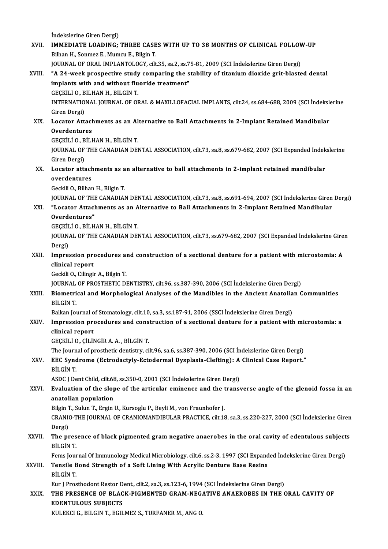İndekslerine Giren Dergi)

indekslerine Giren Dergi)<br>XVII. IMMEDIATE LOADING; THREE CASES WITH UP TO 38 MONTHS OF CLINICAL FOLLOW-UP<br>Rijhan H. Sonmar E. Mumau E. Bilgin T İndekslerine Giren Dergi)<br>IMMEDIATE LOADING; THREE CASE<br>Bilhan H., Sonmez E., Mumcu E., Bilgin T.<br>JOUPNAL OE OBAL IMBLANTOLOCY. silt IMMEDIATE LOADING; THREE CASES WITH UP TO 38 MONTHS OF CLINICAL FOLLOV<br>Bilhan H., Sonmez E., Mumcu E., Bilgin T.<br>JOURNAL OF ORAL IMPLANTOLOGY, cilt.35, sa.2, ss.75-81, 2009 (SCI İndekslerine Giren Dergi)<br>"A 24 week prespec Bilhan H., Sonmez E., Mumcu E., Bilgin T.<br>JOURNAL OF ORAL IMPLANTOLOGY, cilt.35, sa.2, ss.75-81, 2009 (SCI İndekslerine Giren Dergi)<br>XVIII. "A 24-week prospective study comparing the stability of titanium dioxide grit-blas JOURNAL OF ORAL IMPLANTOLOGY, cilt.35, sa.2, ss.75-81, 2009 (SCI Indekslerine Giren Dergi)<br>"A 24-week prospective study comparing the stability of titanium dioxide grit-blaste<br>implants with and without fluoride treatment" "A 24-week prospective study<br>implants with and without flu<br>GEÇKİLİ O., BİLHAN H., BİLGİN T.<br>INTERNATIONAL JOURNAL OF OL INTERNATIONAL JOURNAL OF ORAL & MAXILLOFACIAL IMPLANTS, cilt.24, ss.684-688, 2009 (SCI İndekslerine<br>Giren Dergi) GEÇKİLİ O., BİLHAN H., BİLGİN T. INTERNATIONAL JOURNAL OF ORAL & MAXILLOFACIAL IMPLANTS, cilt.24, ss.684-688, 2009 (SCI İndekslaments as an Alternative to Ball Attachments in 2-Implant Retained Mandibular<br>Cucator Attachments as an Alternative to Ball Atta Giren Dergi)<br><mark>Locator Attacl</mark><br>Overdentures<br>CECV<sup>II L</sup>O P<sup>II I</sup> Locator Attachments as an Al<br>Overdentures<br>GEÇKİLİ O., BİLHAN H., BİLGİN T.<br>IQUPNAL OE THE CANADIAN DEL Overdentures<br>GEÇKİLİ O., BİLHAN H., BİLGİN T.<br>JOURNAL OF THE CANADIAN DENTAL ASSOCIATION, cilt.73, sa.8, ss.679-682, 2007 (SCI Expanded İndekslerine GEÇKİLİ O., B<br>JOURNAL OF<br>Giren Dergi)<br>Locator atte JOURNAL OF THE CANADIAN DENTAL ASSOCIATION, cilt.73, sa.8, ss.679-682, 2007 (SCI Expanded İndek<br>Giren Dergi)<br>XX. Locator attachments as an alternative to ball attachments in 2-implant retained mandibular<br>avandantunac Giren Dergi)<br>Locator attach<br>overdentures<br>Ceckili O. Bilber Locator attachments as a<br>overdentures<br>Geckili O., Bilhan H., Bilgin T.<br>IOUPMAL OF THE CANADIA! overdentures<br>Geckili O., Bilhan H., Bilgin T.<br>JOURNAL OF THE CANADIAN DENTAL ASSOCIATION, cilt.73, sa.8, ss.691-694, 2007 (SCI İndekslerine Giren Dergi)<br>"Legator Attachments as an Alternative to Boll Attachments in 2 Impla Geckili O., Bilhan H., Bilgin T.<br>JOURNAL OF THE CANADIAN DENTAL ASSOCIATION, cilt.73, sa.8, ss.691-694, 2007 (SCI İndekslerine Giren<br>XXI. "Locator Attachments as an Alternative to Ball Attachments in 2-Implant Retained **JOURNAL OF THE**<br>"Locator Attacl<br>Overdentures"<br>CECVILLO PH.U "Locator Attachments as an A<br>Overdentures"<br>GEÇKİLİ O., BİLHAN H., BİLGİN T.<br>JOUPNAL OE THE CANADIAN DEL Overdentures"<br>GEÇKİLİ O., BİLHAN H., BİLGİN T.<br>JOURNAL OF THE CANADIAN DENTAL ASSOCIATION, cilt.73, ss.679-682, 2007 (SCI Expanded İndekslerine Giren<br>Dergi) GECKILI O., BILHAN H., BILGIN T. JOURNAL OF THE CANADIAN DENTAL ASSOCIATION, cilt.73, ss.679-682, 2007 (SCI Expanded Indekslerine Gire<br>Dergi)<br>XXII. Impression procedures and construction of a sectional denture for a patient with microstomia: A<br>clinical re Dergi)<br>Impression pre<br>clinical report<br>Ceckili O. Gilingi Impression procedures al<br>clinical report<br>Geckili O., Cilingir A., Bilgin T.<br>JOUPNAL OF PROSTUETIC DI clinical report<br>Geckili O., Cilingir A., Bilgin T.<br>JOURNAL OF PROSTHETIC DENTISTRY, cilt.96, ss.387-390, 2006 (SCI İndekslerine Giren Dergi)<br>Biometrical and Marnhalagical Analyses of the Mandibles in the Angient Anatolian Geckili O., Cilingir A., Bilgin T.<br>JOURNAL OF PROSTHETIC DENTISTRY, cilt.96, ss.387-390, 2006 (SCI İndekslerine Giren Dergi)<br>XXIII. Biometrical and Morphological Analyses of the Mandibles in the Ancient Anatolian Commu JOURNAL<br>Biometri<br>BİLGİN T.<br>Balkan Jo Biometrical and Morphological Analyses of the Mandibles in the Ancient Anatolia<br>BiLGİN T.<br>Balkan Journal of Stomatology, cilt.10, sa.3, ss.187-91, 2006 (SSCI İndekslerine Giren Dergi)<br>Impression presedures and construction BİLGİN T.<br>Balkan Journal of Stomatology, cilt.10, sa.3, ss.187-91, 2006 (SSCI İndekslerine Giren Dergi)<br>XXIV. Impression procedures and construction of a sectional denture for a patient with microstomia: a<br>clinical report Balkan Journal of Stomatology, cilt.10, sa.3, ss.187-91, 2006 (SSCI Indekslerine Giren Dergi) GEÇKİLİO.,ÇİLİNGİRA.A. ,BİLGİNT. The Journal of prosthetic dentistry, cilt.96, sa.6, ss.387-390, 2006 (SCI İndekslerine Giren Dergi) GEÇKİLİ O., ÇİLİNGİR A. A. , BİLGİN T.<br>The Journal of prosthetic dentistry, cilt.96, sa.6, ss.387-390, 2006 (SCI İndekslerine Giren Dergi)<br>XXV. EEC Syndrome (Ectrodactyly-Ectodermal Dysplasia-Clefting): A Clinical Case The Journ<br>**EEC Sync**<br>BİLGİN T.<br>ASDC LDS EEC Syndrome (Ectrodactyly-Ectodermal Dysplasia-Clefting): A<br>BİLGİN T.<br>ASDC J Dent Child, cilt.68, ss.350-0, 2001 (SCI İndekslerine Giren Dergi)<br>Fyaluation of the clane of the articular eminence and the transı BILGIN T.<br>ASDC J Dent Child, cilt.68, ss.350-0, 2001 (SCI Indekslerine Giren Dergi)<br>XXVI. Evaluation of the slope of the articular eminence and the transverse angle of the glenoid fossa in an<br>anateliar population ASDC J Dent Child, cilt.68<br>**Evaluation of the slop<br>anatolian population**<br>Pikin T. Sulun T. Ergin l Evaluation of the slope of the articular eminence and the t<br>anatolian population<br>Bilgin T., Sulun T., Ergin U., Kursoglu P., Beyli M., von Fraunhofer J.<br>CRANIO THE JOURNAL OF CRANIOMANDIBULAR RRACTICE cilt 19 anatolian population<br>Bilgin T., Sulun T., Ergin U., Kursoglu P., Beyli M., von Fraunhofer J.<br>CRANIO-THE JOURNAL OF CRANIOMANDIBULAR PRACTICE, cilt.18, sa.3, ss.220-227, 2000 (SCI İndekslerine Giren<br>Persi) Bilgin<br>CRANI<br>Dergi)<br>The nr CRANIO-THE JOURNAL OF CRANIOMANDIBULAR PRACTICE, cilt.18, sa.3, ss.220-227, 2000 (SCI İndekslerine Giren<br>Dergi)<br>XXVII. The presence of black pigmented gram negative anaerobes in the oral cavity of edentulous subjects<br>PULCI Dergi)<br>The pres<br>BİLGİN T.<br>Fems Jew The presence of black pigmented gram negative anaerobes in the oral cavity of edentulous subject<br>BİLGİN T.<br>Fems Journal Of Immunology Medical Microbiology, cilt.6, ss.2-3, 1997 (SCI Expanded İndekslerine Giren Dergi)<br>Tensi BİLGİN T.<br>Fems Journal Of Immunology Medical Microbiology, cilt.6, ss.2-3, 1997 (SCI Expanded İndekslerine Giren Dergi)<br>XXVIII. Tensile Bond Strength of a Soft Lining With Acrylic Denture Base Resins BİLGİNT. Tensile Bond Strength of a Soft Lining With Acrylic Denture Base Resins<br>BİLGİN T.<br>Eur J Prosthodont Restor Dent., cilt.2, sa.3, ss.123-6, 1994 (SCI İndekslerine Giren Dergi)<br>THE PRESENCE OF BLACK BICMENTED CRAM NECATIVE AN XXIX. THE PRESENCE OF BLACK-PIGMENTED GRAM-NEGATIVE ANAEROBES IN THE ORAL CAVITY OF<br>EDENTULOUS SUBJECTS Eur J Prosthodont Restor D<br>THE PRESENCE OF BLAC<br>EDENTULOUS SUBJECTS<br>VIU EVCLC - BU CN T- ECU KULEKCI G., BILGIN T., EGILMEZ S., TURFANER M., ANG O.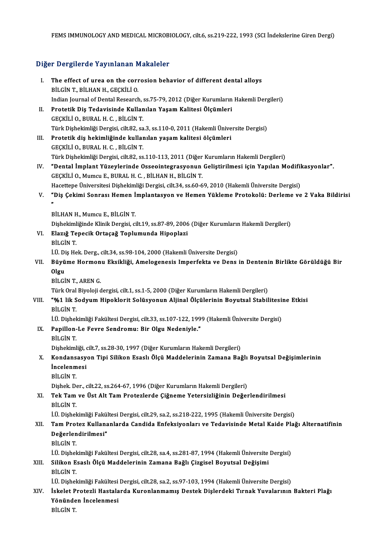# rems Immunology And Medical Mickobi<br>Diğer Dergilerde Yayınlanan Makaleler

| Diğer Dergilerde Yayınlanan Makaleler |                                                                                                             |
|---------------------------------------|-------------------------------------------------------------------------------------------------------------|
| Ι.                                    | The effect of urea on the corrosion behavior of different dental alloys<br>BİLGİN T., BİLHAN H., GEÇKİLİ O. |
|                                       | Indian Journal of Dental Research, ss.75-79, 2012 (Diğer Kurumların Hakemli Dergileri)                      |
| П.                                    | Protetik Diş Tedavisinde Kullanılan Yaşam Kalitesi Ölçümleri                                                |
|                                       | GECKILI O., BURAL H. C., BILGIN T.                                                                          |
|                                       | Türk Dişhekimliği Dergisi, cilt.82, sa.3, ss.110-0, 2011 (Hakemli Üniversite Dergisi)                       |
| III.                                  | Protetik diş hekimliğinde kullanılan yaşam kalitesi ölçümleri                                               |
|                                       | GECKILI O., BURAL H. C., BILGIN T.                                                                          |
|                                       | Türk Dişhekimliği Dergisi, cilt.82, ss.110-113, 2011 (Diğer Kurumların Hakemli Dergileri)                   |
| IV.                                   | "Dental İmplant Yüzeylerinde Osseointegrasyonun Geliştirilmesi için Yapılan Modifikasyonlar".               |
|                                       | GEÇKİLİ O., Mumcu E., BURAL H. C., BİLHAN H., BİLGİN T.                                                     |
|                                       | Hacettepe Üniversitesi Dişhekimliği Dergisi, cilt.34, ss.60-69, 2010 (Hakemli Üniversite Dergisi)           |
| V.                                    | "Diş Çekimi Sonrası Hemen İmplantasyon ve Hemen Yükleme Protokolü: Derleme ve 2 Vaka Bildirisi              |
|                                       | BİLHAN H., Mumcu E., BİLGİN T.                                                                              |
|                                       | Dişhekimliğinde Klinik Dergisi, cilt.19, ss.87-89, 2006 (Diğer Kurumların Hakemli Dergileri)                |
| VI.                                   | Elazığ Tepecik Ortaçağ Toplumunda Hipoplazi                                                                 |
|                                       | BİLGİN T.                                                                                                   |
|                                       | İ.Ü. Diş Hek. Derg., cilt 34, ss 98-104, 2000 (Hakemli Üniversite Dergisi)                                  |
| VII.                                  | Büyüme Hormonu Eksikliği, Amelogenesis Imperfekta ve Dens in Dentenin Birlikte Görüldüğü Bir                |
|                                       | Olgu                                                                                                        |
|                                       | BİLGİN T., AREN G.                                                                                          |
|                                       | Türk Oral Biyoloji dergisi, cilt.1, ss.1-5, 2000 (Diğer Kurumların Hakemli Dergileri)                       |
| VIII.                                 | "%1 lik Sodyum Hipoklorit Solüsyonun Aljinal Ölçülerinin Boyutsal Stabilitesine Etkisi<br><b>BİLGİN T.</b>  |
|                                       | İ.Ü. Dişhekimliği Fakültesi Dergisi, cilt.33, ss.107-122, 1999 (Hakemli Üniversite Dergisi)                 |
| IX.                                   | Papillon-Le Fevre Sendromu: Bir Olgu Nedeniyle."                                                            |
|                                       | <b>BİLGİN T.</b>                                                                                            |
|                                       | Dişhekimliği, cilt.7, ss.28-30, 1997 (Diğer Kurumların Hakemli Dergileri)                                   |
| Х.                                    | Kondansasyon Tipi Silikon Esaslı Ölçü Maddelerinin Zamana Bağlı Boyutsal Değişimlerinin                     |
|                                       | <i>incelenmesi</i>                                                                                          |
|                                       | <b>BİLGİN T.</b>                                                                                            |
|                                       | Dişhek. Der., cilt.22, ss.264-67, 1996 (Diğer Kurumların Hakemli Dergileri)                                 |
| XI.                                   | Tek Tam ve Üst Alt Tam Protezlerde Çiğneme Yetersizliğinin Değerlendirilmesi                                |
|                                       | BİLGİN T.                                                                                                   |
|                                       | İ.Ü. Dişhekimliği Fakültesi Dergisi, cilt.29, sa.2, ss.218-222, 1995 (Hakemli Üniversite Dergisi)           |
| XII.                                  | Tam Protez Kullananlarda Candida Enfeksiyonları ve Tedavisinde Metal Kaide Plağı Alternatifinin             |
|                                       | Değerlendirilmesi"<br><b>BİLGİN T.</b>                                                                      |
|                                       | İ.Ü. Dişhekimliği Fakültesi Dergisi, cilt.28, sa.4, ss.281-87, 1994 (Hakemli Üniversite Dergisi)            |
|                                       | Silikon Esaslı Ölçü Maddelerinin Zamana Bağlı Çizgisel Boyutsal Değişimi                                    |
| XIII.                                 | <b>BİLGİN T.</b>                                                                                            |
|                                       | İ.Ü. Dişhekimliği Fakültesi Dergisi, cilt.28, sa.2, ss.97-103, 1994 (Hakemli Üniversite Dergisi)            |
| XIV.                                  | İskelet Protezli Hastalarda Kuronlanmamış Destek Dişlerdeki Tırnak Yuvalarının Bakteri Plağı                |
|                                       | Yönünden İncelenmesi                                                                                        |
|                                       | <b>BİLGİN T.</b>                                                                                            |
|                                       |                                                                                                             |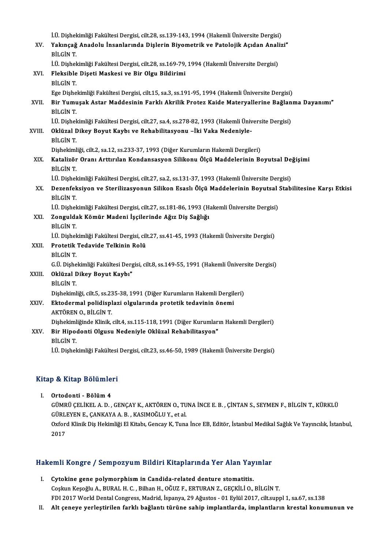|              | İ.Ü. Dişhekimliği Fakültesi Dergisi, cilt.28, ss.139-143, 1994 (Hakemli Üniversite Dergisi)                        |
|--------------|--------------------------------------------------------------------------------------------------------------------|
| XV.          | Yakınçağ Anadolu İnsanlarında Dişlerin Biyometrik ve Patolojik Açıdan Analizi"<br>BİLGİN T.                        |
|              | İ.Ü. Dişhekimliği Fakültesi Dergisi, cilt.28, ss.169-79, 1994 (Hakemli Üniversite Dergisi)                         |
| XVI.         | Fleksible Dişeti Maskesi ve Bir Olgu Bildirimi<br><b>BİLGİN T.</b>                                                 |
|              | Ege Dişhekimliği Fakültesi Dergisi, cilt.15, sa.3, ss.191-95, 1994 (Hakemli Üniversite Dergisi)                    |
| XVII.        | Bir Yumuşak Astar Maddesinin Farklı Akrilik Protez Kaide Materyallerine Bağlanma Dayanımı"<br>BİLGİN T.            |
|              | İ.Ü. Dişhekimliği Fakültesi Dergisi, cilt.27, sa.4, ss.278-82, 1993 (Hakemli Üniversite Dergisi)                   |
| <b>XVIII</b> | Oklüzal Dikey Boyut Kaybı ve Rehabilitasyonu -İki Vaka Nedeniyle-<br><b>BİLGİN T.</b>                              |
|              | Dişhekimliği, cilt.2, sa.12, ss.233-37, 1993 (Diğer Kurumların Hakemli Dergileri)                                  |
| XIX.         | Katalizör Oranı Arttırılan Kondansasyon Silikonu Ölçü Maddelerinin Boyutsal Değişimi<br>BİLGİN T.                  |
|              | İ.Ü. Dişhekimliği Fakültesi Dergisi, cilt.27, sa.2, ss.131-37, 1993 (Hakemli Üniversite Dergisi)                   |
| XX.          | Dezenfeksiyon ve Sterilizasyonun Silikon Esaslı Ölçü Maddelerinin Boyutsal Stabilitesine Karşı Etkisi<br>BİLGİN T. |
|              | İ.Ü. Dişhekimliği Fakültesi Dergisi, cilt.27, ss.181-86, 1993 (Hakemli Üniversite Dergisi)                         |
| XXI.         | Zonguldak Kömür Madeni İşçilerinde Ağız Diş Sağlığı<br>BİLGİN T.                                                   |
|              | İ.Ü. Dişhekimliği Fakültesi Dergisi, cilt.27, ss.41-45, 1993 (Hakemli Üniversite Dergisi)                          |
| XXII.        | Protetik Tedavide Telkinin Rolü<br>BİLGİN T.                                                                       |
|              | G.Ü. Dishekimliği Fakültesi Dergisi, cilt.8, ss.149-55, 1991 (Hakemli Üniversite Dergisi)                          |
| XXIII.       | Oklüzal Dikey Boyut Kaybı"                                                                                         |
|              | BİLGİN T.                                                                                                          |
|              | Dişhekimliği, cilt.5, ss.235-38, 1991 (Diğer Kurumların Hakemli Dergileri)                                         |
| XXIV.        | Ektodermal polidisplazi olgularında protetik tedavinin önemi<br>AKTÖREN O., BİLGİN T                               |
|              | Dişhekimliğinde Klinik, cilt.4, ss.115-118, 1991 (Diğer Kurumların Hakemli Dergileri)                              |
| XXV          | Bir Hipodonti Olgusu Nedeniyle Oklüzal Rehabilitasyon"<br>BİLGİN T.                                                |
|              | İ.Ü. Dişhekimliği Fakültesi Dergisi, cilt.23, ss.46-50, 1989 (Hakemli Üniversite Dergisi)                          |

# 1.0. Dişnekimliği Fakultesi<br>Kitap & Kitap Bölümleri

itap & Kitap Bölümle<br>I. Ortodonti - Bölüm 4<br>CÜMPÜ CELİKELA D GÜMRÜ ESTEMILIST<br>Ortodonti - Bölüm 4<br>GÜMRÜ ÇELİKEL A. D. , GENÇAY K., AKTÖREN O., TUNA İNCE E. B. , ÇİNTAN S., SEYMEN F., BİLGİN T., KÜRKLÜ Ortodonti - Bölüm 4<br>GÜMRÜ ÇELİKEL A. D. , GENÇAY K., AKTÖREN O., TU<br>GÜRLEYEN E., ÇANKAYA A. B. , KASIMOĞLU Y., et al.<br>Orford Klinik Die Holsmliği El Kitabı Concov K. Tung GÜMRÜ ÇELİKEL A. D. , GENÇAY K., AKTÖREN O., TUNA İNCE E. B. , ÇİNTAN S., SEYMEN F., BİLGİN T., KÜRKLÜ<br>GÜRLEYEN E., ÇANKAYA A. B. , KASIMOĞLU Y., et al.<br>Oxford Klinik Diş Hekimliği El Kitabı, Gencay K, Tuna İnce EB, Editör GÜRLI<br>Oxfore<br>2017

# <sub>2017</sub><br>Hakemli Kongre / Sempozyum Bildiri Kitaplarında Yer Alan Yayınlar

- akemli Kongre / Sempozyum Bildiri Kitaplarında Yer Alan Yay<br>I. Cytokine gene polymorphism in Candida-related denture stomatitis.<br>Ceekin Kesseli A. BunALH G. Bilban H. Oğuz E. EPTURAN Z. CECKU LO. I. Cytokine gene polymorphism in Candida-related denture stomatitis.<br>Coşkun Keşoğlu A., BURAL H. C., Bilhan H., OĞUZ F., ERTURAN Z., GEÇKİLİ O., BİLGİN T. FDI2017WorldDentalCongress,Madrid, İspanya,29Ağustos -01Eylül2017, cilt.suppl1, sa.67, ss.138
- II. Alt çeneye yerleştirilen farklı bağlantı türüne sahip implantlarda, implantların krestal konumunun ve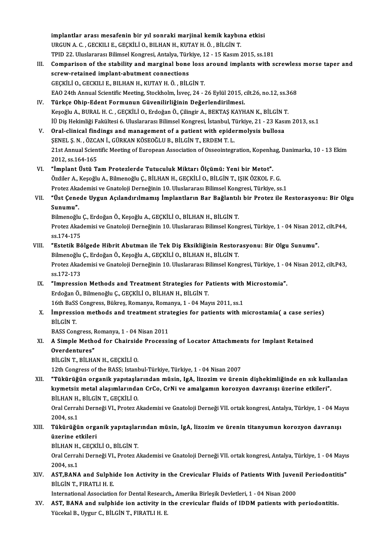implantlar arası mesafenin bir yıl sonraki marjinal kemik kaybına etkisi<br>UPCUN A.C. SESKULLE SESKULLO PU HANH KUTAYHÖ PU SINT implantlar arası mesafenin bir yıl sonraki marjinal kemik kaybır<br>URGUN A. C. , GECKILI E., GEÇKİLİ O., BILHAN H., KUTAY H. Ö. , BİLGİN T.<br>TPID 22. Uluslararası Bilimsel Kangrasi, Antalya Türkiye 12., 15 Kasım ( implantlar arası mesafenin bir yıl sonraki marjinal kemik kaybına etkisi<br>URGUN A. C. , GECKILI E., GEÇKİLİ O., BILHAN H., KUTAY H. Ö. , BİLGİN T.<br>TPID 22. Uluslararası Bilimsel Kongresi, Antalya, Türkiye, 12 - 15 Kasım 201 URGUN A. C. , GECKILI E., GEÇKİLİ O., BILHAN H., KUTAY H. Ö. , BİLGİN T.<br>TPID 22. Uluslararası Bilimsel Kongresi, Antalya, Türkiye, 12 - 15 Kasım 2015, ss.181<br>III. Comparison of the stability and marginal bone loss around TPID 22. Uluslararası Bilimsel Kongresi, Antalya, Türl<br>Comparison of the stability and marginal bone<br>screw-retained implant-abutment connections<br>CECKULLO CECKULLE, PU HAN H. KUTAVHÖ PU ( Comparison of the stability and marginal bone loss<br>screw-retained implant-abutment connections<br>GEÇKİLİ O., GECKILI E., BILHAN H., KUTAY H.Ö., BİLGİN T.<br>EAQ 24th Annual Scientific Meeting Stackholm İsveç 24

- screw-retained implant-abutment connections<br>GEÇKİLİ O., GECKILI E., BILHAN H., KUTAY H. Ö. , BİLGİN T.<br>EAO 24th Annual Scientific Meeting, Stockholm, İsveç, 24 26 Eylül 2015, cilt.26, no.12, ss.368<br>Türkçe Ohin Edent Ferm GEÇKİLİ O., GECKILI E., BILHAN H., KUTAY H. Ö. , BİLGİN T.<br>EAO 24th Annual Scientific Meeting, Stockholm, İsveç, 24 - 26 Eylül 2015, q<br>IV. Türkçe Ohip-Edent Formunun Güvenilirliğinin Değerlendirilmesi.<br>Keseğlu A. BUBAL H. EAO 24th Annual Scientific Meeting, Stockholm, İsveç, 24 - 26 Eylül 2015, cilt.26, no.12, ss.3<br><mark>Türkçe Ohip-Edent Formunun Güvenilirliğinin Değerlendirilmesi.</mark><br>Keşoğlu A., BURAL H. C. , GEÇKİLİ O., Erdoğan Ö., Çilingir A., Türkçe Ohip-Edent Formunun Güvenilirliğinin Değerlendirilmesi.<br>Keşoğlu A., BURAL H. C. , GEÇKİLİ O., Erdoğan Ö., Çilingir A., BEKTAŞ KAYHAN K., BİLGİN T.<br>İÜ Diş Hekimliği Fakültesi 6. Uluslararası Bilimsel Kongresi, İstanb
- Keşoğlu A., BURAL H. C. , GEÇKİLİ O., Erdoğan Ö., Çilingir A., BEKTAŞ KAYHAN K., BİLGİN 1<br>İÜ Diş Hekimliği Fakültesi 6. Uluslararası Bilimsel Kongresi, İstanbul, Türkiye, 21 23 Kası<br>V. Oral-clinical findings and manageme İÜ Diş Hekimliği Fakültesi 6. Uluslararası Bilimsel Kongresi, İstanbul, T<br>Oral-clinical findings and management of a patient with epide<br>ŞENEL Ş.N., ÖZCAN İ., GÜRKAN KÖSEOĞLU B., BİLGİN T., ERDEM T. L.<br>21st Annual Scientifi Oral-clinical findings and management of a patient with epidermolysis bullosa<br>ŞENEL Ş. N. , ÖZCAN İ., GÜRKAN KÖSEOĞLU B., BİLGİN T., ERDEM T. L.<br>21st Annual Scientific Meeting of European Association of Osseointegration, K SENEL S. N. , ÖZCA<br>21st Annual Scien<br>2012, ss.164-165<br>"Implant Üstü T 21st Annual Scientific Meeting of European Association of Osseointegration, Kopenha<br>2012, ss.164-165<br>VI. "İmplant Üstü Tam Protezlerde Tutuculuk Miktarı Ölçümü: Yeni bir Metot".<br>Ördüler A. Keseğlu A. Bilmeneğlu G. Bit HAN
- 2012, ss.164-165<br>**"İmplant Üstü Tam Protezlerde Tutuculuk Miktarı Ölçümü: Yeni bir Metot".**<br>Özdiler A., Keşoğlu A., Bilmenoğlu Ç., BİLHAN H., GEÇKİLİ O., BİLGİN T., IŞIK ÖZKOL F. G.<br>Protez Akademisi ve Cratoloji Derneğinin "İmplant Üstü Tam Protezlerde Tutuculuk Miktarı Ölçümü: Yeni bir Metot".<br>Özdiler A., Keşoğlu A., Bilmenoğlu Ç., BİLHAN H., GEÇKİLİ O., BİLGİN T., IŞIK ÖZKOL F. G.<br>Protez Akademisi ve Gnatoloji Derneğinin 10. Uluslararası B
- Özdiler A., Keşoğlu A., Bilmenoğlu Ç., BİLHAN H., GEÇKİLİ O., BİLGİN T., IŞIK ÖZKOL F. G.<br>Protez Akademisi ve Gnatoloji Derneğinin 10. Uluslararası Bilimsel Kongresi, Türkiye, ss.1<br>VII. "Üst Çenede Uygun Açılandırılmamış İ Protez Aka<br>**"Üst Çene<br>Sunumu".**<br><sup>Bilmonoğlu</sub></sup> "Üst Çenede Uygun Açılandırılmamış İmplantların Bar Bağlantıl<br>Sunumu".<br>Bilmenoğlu Ç., Erdoğan Ö., Keşoğlu A., GEÇKİLİ O., BİLHAN H., BİLGİN T.<br>Preter Alındamisi ve Casteleji Derneğinin 10 Uluslararası Bilimsel Kene

Sunumu".<br>Bilmenoğlu Ç., Erdoğan Ö., Keşoğlu A., GEÇKİLİ O., BİLHAN H., BİLGİN T.<br>Protez Akademisi ve Gnatoloji Derneğinin 10. Uluslararası Bilimsel Kongresi, Türkiye, 1 - 04 Nisan 2012, cilt.P44,<br>ss.174-175 Bilmenoğlu Ç., Erdoğan Ö., Keşoğlu A., GEÇKİLİ O., BİLHAN H., BİLGİN T. Protez Akademisi ve Gnatoloji Derneğinin 10. Uluslararası Bilimsel Kongresi, Türkiye, 1 - 04 Nisan 201<br>ss.174-175<br>VIII. "Estetik Bölgede Hibrit Abutman ile Tek Diş Eksikliğinin Restorasyonu: Bir Olgu Sunumu".<br>Pilmeneğlu G.

### ss.174-175<br>"Estetik Bölgede Hibrit Abutman ile Tek Diş Eksikliğinin Restor<br>Bilmenoğlu Ç., Erdoğan Ö., Keşoğlu A., GEÇKİLİ O., BİLHAN H., BİLGİN T.<br>Pretez Akademisi ve Casteleji Derneğinin 10 Uluslararası Bilimsel Kene "Estetik Bölgede Hibrit Abutman ile Tek Diş Eksikliğinin Restorasyonu: Bir Olgu Sunumu".<br>Bilmenoğlu Ç., Erdoğan Ö., Keşoğlu A., GEÇKİLİ O., BİLHAN H., BİLGİN T.<br>Protez Akademisi ve Gnatoloji Derneğinin 10. Uluslararası Bil Bilmenoğlu Ç., Erdoğan Ö., Keşoğlu A., GEÇKİLİ O., BİLHAN H., BİLGİN T.<br>Protez Akademisi ve Gnatoloji Derneğinin 10. Uluslararası Bilimsel Kongresi, Türkiye, 1 - 0<br>ss.172-173<br>IX. "Impression Methods and Treatment Strategie Protez Akademisi ve Gnatoloji Derneğinin 10. Uluslararası Bilimsel Kongresi, Türkiye, 1 - 0<br>ss.172-173<br>IX. "Impression Methods and Treatment Strategies for Patients with Microstomia".

## ErdoğanÖ.,BilmenoğluÇ.,GEÇKİLİO.,BİLHANH.,BİLGİNT. "Impression Methods and Treatment Strategies for Patients with<br>Erdoğan Ö., Bilmenoğlu Ç., GEÇKİLİ O., BİLHAN H., BİLGİN T.<br>16th BaSS Congress, Bükreş, Romanya, Romanya, 1 - 04 Mayıs 2011, ss.1<br>İmpression methods and treatm

X. Impression methods and treatment strategies for patients with microstamia( a case series)<br>BILGIN T. 16th BaSS<br>**İmpressi**<br>BİLGİN T.<br>PASS Con **Impression methods and treatment stra<br>BILGIN T.<br>BASS Congress, Romanya, 1 - 04 Nisan 2011<br>A Simple Method for Chainaide Processi** 

## XI. A Simple Method for Chairside Processing of Locator Attachments for Implant Retained<br>Overdentures" BASS Congress, F<br>A Simple Metho<br>Overdentures"<br>Pit Cin T Pit HA

BİLGİN T, BİLHAN H., GEÇKİLİ O.

12th Congress of the BASS; Istanbul-Türkiye, Türkiye, 1 - 04 Nisan 2007

### XII. "Tükürüğün organik yapıtaşlarından müsin, IgA, lizozim ve ürenin dişhekimliğinde en sık kullanılan 12th Congress of the BASS; Istanbul-Türkiye, Türkiye, 1 - 04 Nisan 2007<br>"Tükürüğün organik yapıtaşlarından müsin, IgA, lizozim ve ürenin dişhekimliğinde en sık kulla<br>kıymetsiz metal alaşımlarından CrCo, CrNi ve amalgamın k "Tükürüğün organik yapıtaşla<br>kıymetsiz metal alaşımlarında<br>BİLHAN H., BİLGİN T., GEÇKİLİ O.<br>Oral Cerrabi Derneği VI., Pretez A kıymetsiz metal alaşımlarından CrCo, CrNi ve amalgamın korozyon davranışı üzerine etkileri".<br>BİLHAN H., BİLGİN T., GEÇKİLİ O.<br>Oral Cerrahi Derneği VI., Protez Akademisi ve Gnatoloji Derneği VII. ortak kongresi, Antalya, Tü

BİLHAN H., BİLGİN T., GEÇKİLİ O.<br>Oral Cerrahi Derneği VI., Protez Akademisi ve Gnatoloji Derneği VII. ortak kongresi, Antalya, Türkiye, 1 - 04 Mayıs<br>2004, ss.1 Oral Cerrahi Derneği VI., Protez Akademisi ve Gnatoloji Derneği VII. ortak kongresi, Antalya, Türkiye, 1 - 04 Ma<br>2004, ss.1<br>XIII. Tükürüğün organik yapıtaşlarından müsin, IgA, lizozim ve ürenin titanyumun korozyon davr

## 2004, ss.1<br>Tükürüğün orga<br>üzerine etkileri<br>Pituanu CECV Tükürüğün organik yapıtaşlar<br>üzerine etkileri<br>BİLHAN H., GEÇKİLİ O., BİLGİN T.<br>Oral Carrabi Darnağı VI., Prataz A

BİLHAN H., GECKİLİ O., BİLGİN T.

üzerine etkileri<br>BİLHAN H., GEÇKİLİ O., BİLGİN T.<br>Oral Cerrahi Derneği VI., Protez Akademisi ve Gnatoloji Derneği VII. ortak kongresi, Antalya, Türkiye, 1 - 04 Mayıs<br>2004, ss.1 Oral Cerrahi Derneği VI., Protez Akademisi ve Gnatoloji Derneği VII. ortak kongresi, Antalya, Türkiye, 1 - 04 Mayıs<br>2004, ss.1<br>XIV. AST,BANA and Sulphide Ion Activity in the Crevicular Fluids of Patients With Juvenil P

2004, ss.1<br><mark>AST,BANA and Sulphi</mark><br>BİLGİN T., FIRATLI H. E.<br>International Associatio AST,BANA and Sulphide Ion Activity in the Crevicular Fluids of Patients With Juver<br>BİLGİN T., FIRATLI H. E.<br>International Association for Dental Research,, Amerika Birleşik Devletleri, 1 - 04 Nisan 2000<br>AST, BANA and sulph

BİLGİN T., FIRATLI H. E.<br>International Association for Dental Research,, Amerika Birleşik Devletleri, 1 - 04 Nisan 2000<br>XV. AST, BANA and sulphide ion activity in the crevicular fluids of IDDM patients with periodontit International Association for Dental Researc<br><mark>AST, BANA and sulphide ion activity in</mark><br>Yücekal B., Uygur C., BİLGİN T., FIRATLI H. E.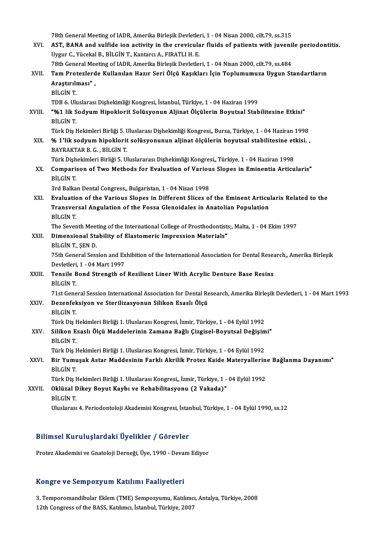78th General Meeting of IADR, Amerika Birleşik Devletleri, 1 - 04 Nisan 2000, cilt.79, ss.315

78th General Meeting of IADR, Amerika Birleşik Devletleri, 1 - 04 Nisan 2000, cilt.79, ss.315<br>XVI. AST, BANA and sulfide ion activity in the crevicular fluids of patients with juvenile periodontitis. 78th General Meeting of IADR, Amerika Birleşik Devletle:<br>**AST, BANA and sulfide ion activity in the crevicula**<br>Uygur C., Yücekal B., BİLGİN T., Kantarcı A., FIRATLI H. E.<br>78th Conoral Meeting of IADB, Amerika Birleşik Devl AST, BANA and sulfide ion activity in the crevicular fluids of patients with juvenil<br>Uygur C., Yücekal B., BİLGİN T., Kantarcı A., FIRATLI H. E.<br>78th General Meeting of IADR, Amerika Birleşik Devletleri, 1 - 04 Nisan 2000, Uygur C., Yücekal B., BİLGİN T., Kantarcı A., FIRATLI H. E.<br>78th General Meeting of IADR, Amerika Birleşik Devletleri, 1 - 04 Nisan 2000, cilt.79, ss.484<br>XVII. Tam Protezlerde Kullanılan Hazır Seri Ölçü Kaşıkları İçin 78th General Meeting of IADR, Amerika Birleşik Devletleri, 1 - 04 Nisan 2000, cilt.79, ss.484 BİLGİNT. TDB6.UluslarasıDişhekimliğiKongresi, İstanbul,Türkiye,1 -04Haziran1999 BİLGİN T.<br>TDB 6. Uluslarası Dişhekimliği Kongresi, İstanbul, Türkiye, 1 - 04 Haziran 1999<br>XVIII. "%1 lik Sodyum Hipoklorit Solüsyonun Aljinat Ölçülerin Boyutsal Stabilitesine Etkisi"<br>PRI CİN T TDB 6. Ulu<br>**"%1 lik S<br>BİLGİN T.**<br>Türk Dis k "%1 lik Sodyum Hipoklorit Solüsyonun Aljinat Ölçülerin Boyutsal Stabilitesine Etkisi"<br>BİLGİN T.<br>Türk Diş Hekimleri Birliği 5. Uluslarası Dişhekimliği Kongresi,, Bursa, Türkiye, 1 - 04 Haziran 1998<br>% 1'lik soduum binaklarit BİLGİN T.<br>Türk Diş Hekimleri Birliği 5. Uluslarası Dişhekimliği Kongresi,, Bursa, Türkiye, 1 - 04 Haziran 1998<br>XIX. % 1'lik sodyum hipoklorit solüsyonunun aljinat ölçülerin boyutsal stabilitesine etkisi. ,<br>RAVRAKTAR R Türk Diş Hekimleri Birliği 5. U<br>% 1'lik s<mark>odyum hipoklorit</mark><br>BAYRAKTAR B. G. , BİLGİN T.<br>Türk Dishekimleri Birliği 5. Ul % 1'lik sodyum hipoklorit solüsyonunun aljinat ölçülerin boyutsal stabilitesine et<br>BAYRAKTAR B. G. , BİLGİN T.<br>Türk Dişhekimleri Birliği 5. Uluslararası Dişhekimliği Kongresi,, Türkiye, 1 - 04 Haziran 1998<br>Comparison of Tu BAYRAKTAR B. G. , BİLGİN T.<br>Türk Dişhekimleri Birliği 5. Uluslararası Dişhekimliği Kongresi,, Türkiye, 1 - 04 Haziran 1998<br>XX. Comparison of Two Methods for Evaluation of Various Slopes in Eminentia Articularis"<br>Pit ci Türk Dişh<br><mark>Compari:</mark><br>BİLGİN T.<br><sup>2nd Bollm</sup> Comparison of Two Methods for Evaluation of Variou<br>BİLGİN T.<br>3rd Balkan Dental Congress,, Bulgaristan, 1 - 04 Nisan 1998<br>Evaluation of the Various Slanes in Different Slises of BİLGİN T.<br>3rd Balkan Dental Congress" Bulgaristan, 1 - 04 Nisan 1998<br>XXI. Evaluation of the Various Slopes in Different Slices of the Eminent Articularis Related to the 3rd Balkan Dental Congress,, Bulgaristan, 1 - 04 Nisan 1998<br>Evaluation of the Various Slopes in Different Slices of the Eminent Articu<br>Transversal Angulation of the Fossa Glenoidales in Anatolian Population<br>Pit Cin T Evaluation<br>Transver<br>BİLGİN T.<br>The Sever Transversal Angulation of the Fossa Glenoidales in Anatolian Population<br>BİLGİN T.<br>The Seventh Meeting of the International College of Prosthodontists;, Malta, 1 - 04 Ekim 1997<br>Dimensional Stability of Elastemeris Impressio BİLGİN T.<br>The Seventh Meeting of the International College of Prosthodontists<br>XXII. Dimensional Stability of Elastomeric Impression Materials"<br>PRICIN T. SEN D The Seventh Meet<br>Dimensional Sta<br>BİLGİN T., ŞEN D.<br><sup>75th</sup> Conoral Sess Dimensional Stability of Elastomeric Impression Materials"<br>BİLGİN T., ŞEN D.<br>75th General Session and Exhibition of the International Association for Dental Research,, Amerika Birleşik<br>Devletleri 1 - 04 Mert 1997 BİLGİN T., ŞEN D.<br>75th General Session and Ex<br>Devletleri, 1 - 04 Mart 1997<br>Tensile Bend Strength of T5th General Session and Exhibition of the International Association for Dental Researth Devletleri, 1 - 04 Mart 1997<br>XXIII. Tensile Bond Strength of Resilient Liner With Acrylic Denture Base Resins<br>PUCIN T Devletleri, 1 - 04 Mart 1997<br>Tensile Bond Strength of Resilient Liner With Acrylic Denture Base Resins<br>BİLGİN T. 71st General Session International Association for Dental Research, Amerika Birleşik Devletleri, 1 - 04 Mart 1993 XXIV. Dezenfeksiyon ve Sterilizasyonun Silikon Esaslı Ölçü BİLGİNT. Türk Diş Hekimleri Birliği 1. Uluslarası Kongresi, İzmir, Türkiye, 1 - 04 Eylül 1992 BİLGİN T.<br>Türk Diş Hekimleri Birliği 1. Uluslarası Kongresi, İzmir, Türkiye, 1 - 04 Eylül 1992<br>XXV. Silikon Esaslı Ölçü Maddelerinin Zamana Bağlı Çizgisel-Boyutsal Değişimi"<br>Pit Cin T Türk Diş I<br><mark>Silikon E</mark><br>BİLGİN T.<br>Türk Diş I Silikon Esaslı Ölçü Maddelerinin Zamana Bağlı Çizgisel-Boyutsal Değişim<br>BİLGİN T.<br>Türk Diş Hekimleri Birliği 1. Uluslarası Kongresi, İzmir, Türkiye, 1 - 04 Eylül 1992<br>Bir Yumusak Astar Maddasinin Farklı Akrilik Pratar Kaid BİLGİN T.<br>Türk Diş Hekimleri Birliği 1. Uluslarası Kongresi, İzmir, Türkiye, 1 - 04 Eylül 1992<br>XXVI. Bir Yumuşak Astar Maddesinin Farklı Akrilik Protez Kaide Materyallerine Bağlanma Dayanımı"<br>Pil Cin T Türk Diş I<br><mark>Bir Yumı</mark><br>BİLGİN T.<br>Türk Diş I Bir Yumuşak Astar Maddesinin Farklı Akrilik Protez Kaide Materyallerin<br>BİLGİN T.<br>Türk Diş Hekimleri Birliği 1. Uluslarası Kongresi,, İzmir, Türkiye, 1 - 04 Eylül 1992<br>Oklüzal Dikay Boyut Kaybı ve Pehabilitasyonu (? Vakada) BİLGİN T.<br>Türk Diş Hekimleri Birliği 1. Uluslarası Kongresi,, İzmir, Türkiye, 1 -<br>XXVII. Oklüzal Dikey Boyut Kaybı ve Rehabilitasyonu (2 Vakada)"<br>pit cin T Türk Diş I<br><mark>Oklüzal I</mark><br>BİLGİN T.<br>Uluslarası BİLGİN T.<br>Uluslarası 4. Periodontoloji Akademisi Kongresi, İstanbul, Türkiye, 1 - 04 Eylül 1990, ss.12

### Bilimsel KuruluşlardakiÜyelikler / Görevler

Protez Akademisi ve Gnatoloji Derneği, Üye, 1990 - Devam Ediyor

#### Kongre ve SempozyumKatılımı Faaliyetleri

3.Temporomandibular Eklem(TME) Sempozyumu,Katılımcı,Antalya,Türkiye,2008 12th Congress of the BASS, Katılımcı, İstanbul, Türkiye, 2007